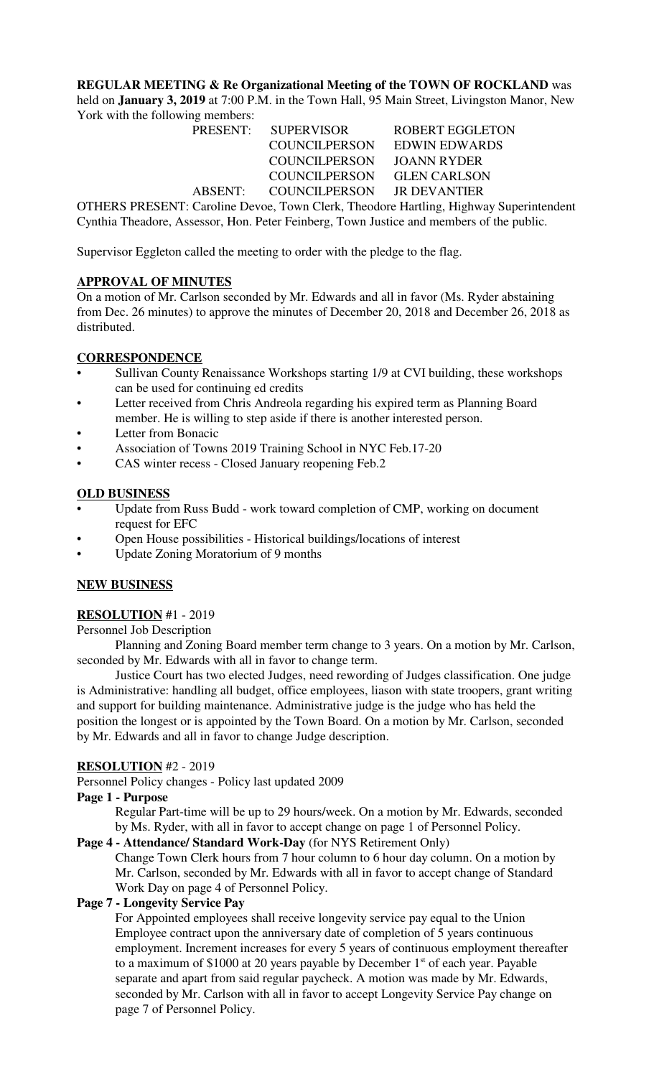# **REGULAR MEETING & Re Organizational Meeting of the TOWN OF ROCKLAND** was

held on **January 3, 2019** at 7:00 P.M. in the Town Hall, 95 Main Street, Livingston Manor, New York with the following members:

| <b>PRESENT: SUPERVISOR</b>         | ROBERT EGGLETON    |
|------------------------------------|--------------------|
| <b>COUNCILPERSON</b>               | EDWIN EDWARDS      |
| <b>COUNCILPERSON</b>               | <b>JOANN RYDER</b> |
| COUNCILPERSON GLEN CARLSON         |                    |
| ABSENT: COUNCILPERSON JR DEVANTIER |                    |

OTHERS PRESENT: Caroline Devoe, Town Clerk, Theodore Hartling, Highway Superintendent Cynthia Theadore, Assessor, Hon. Peter Feinberg, Town Justice and members of the public.

Supervisor Eggleton called the meeting to order with the pledge to the flag.

## **APPROVAL OF MINUTES**

On a motion of Mr. Carlson seconded by Mr. Edwards and all in favor (Ms. Ryder abstaining from Dec. 26 minutes) to approve the minutes of December 20, 2018 and December 26, 2018 as distributed.

## **CORRESPONDENCE**

- Sullivan County Renaissance Workshops starting 1/9 at CVI building, these workshops can be used for continuing ed credits
- Letter received from Chris Andreola regarding his expired term as Planning Board member. He is willing to step aside if there is another interested person.
- Letter from Bonacic
- Association of Towns 2019 Training School in NYC Feb.17-20
- CAS winter recess Closed January reopening Feb.2

#### **OLD BUSINESS**

- Update from Russ Budd work toward completion of CMP, working on document request for EFC
- Open House possibilities Historical buildings/locations of interest
- Update Zoning Moratorium of 9 months

## **NEW BUSINESS**

## **RESOLUTION** #1 - 2019

Personnel Job Description

Planning and Zoning Board member term change to 3 years. On a motion by Mr. Carlson, seconded by Mr. Edwards with all in favor to change term.

Justice Court has two elected Judges, need rewording of Judges classification. One judge is Administrative: handling all budget, office employees, liason with state troopers, grant writing and support for building maintenance. Administrative judge is the judge who has held the position the longest or is appointed by the Town Board. On a motion by Mr. Carlson, seconded by Mr. Edwards and all in favor to change Judge description.

## **RESOLUTION** #2 - 2019

Personnel Policy changes - Policy last updated 2009

## **Page 1 - Purpose**

Regular Part-time will be up to 29 hours/week. On a motion by Mr. Edwards, seconded by Ms. Ryder, with all in favor to accept change on page 1 of Personnel Policy.

## **Page 4 - Attendance/ Standard Work-Day** (for NYS Retirement Only)

Change Town Clerk hours from 7 hour column to 6 hour day column. On a motion by Mr. Carlson, seconded by Mr. Edwards with all in favor to accept change of Standard Work Day on page 4 of Personnel Policy.

#### **Page 7 - Longevity Service Pay**

For Appointed employees shall receive longevity service pay equal to the Union Employee contract upon the anniversary date of completion of 5 years continuous employment. Increment increases for every 5 years of continuous employment thereafter to a maximum of  $$1000$  at 20 years payable by December  $1<sup>st</sup>$  of each year. Payable separate and apart from said regular paycheck. A motion was made by Mr. Edwards, seconded by Mr. Carlson with all in favor to accept Longevity Service Pay change on page 7 of Personnel Policy.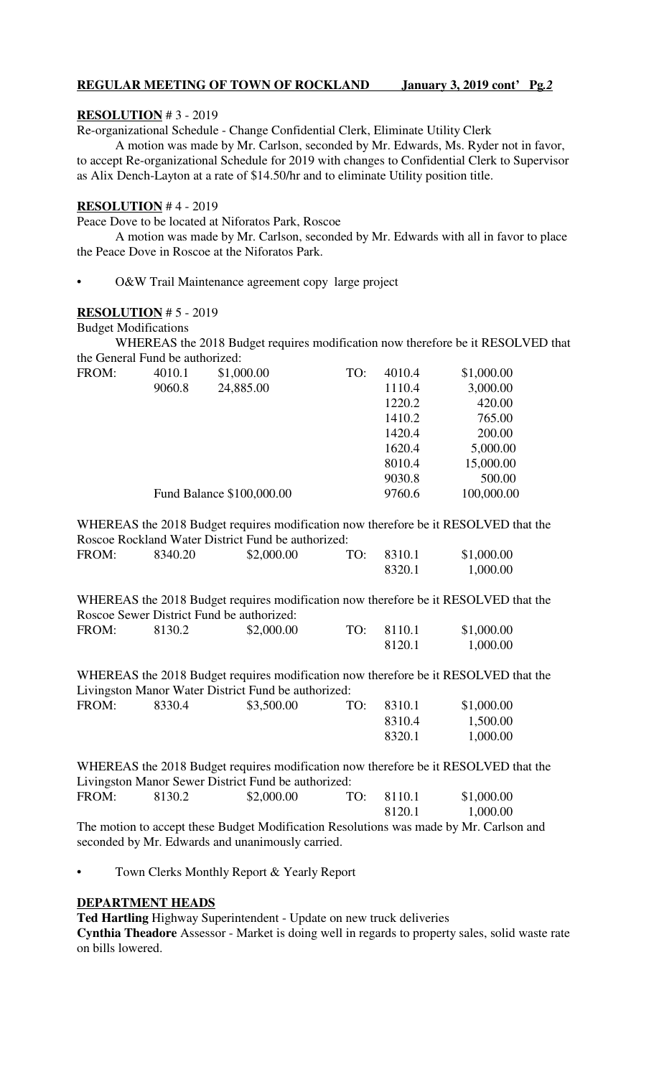## **REGULAR MEETING OF TOWN OF ROCKLAND January 3, 2019 cont' Pg***.2*

### **RESOLUTION** # 3 - 2019

Re-organizational Schedule - Change Confidential Clerk, Eliminate Utility Clerk

A motion was made by Mr. Carlson, seconded by Mr. Edwards, Ms. Ryder not in favor, to accept Re-organizational Schedule for 2019 with changes to Confidential Clerk to Supervisor as Alix Dench-Layton at a rate of \$14.50/hr and to eliminate Utility position title.

#### **RESOLUTION** # 4 - 2019

Peace Dove to be located at Niforatos Park, Roscoe

A motion was made by Mr. Carlson, seconded by Mr. Edwards with all in favor to place the Peace Dove in Roscoe at the Niforatos Park.

O&W Trail Maintenance agreement copy large project

#### **RESOLUTION** # 5 - 2019

Budget Modifications

WHEREAS the 2018 Budget requires modification now therefore be it RESOLVED that the General Fund be authorized:

| FROM: | 4010.1 | \$1,000.00                | TO: | 4010.4 | \$1,000.00 |
|-------|--------|---------------------------|-----|--------|------------|
|       | 9060.8 | 24,885.00                 |     | 1110.4 | 3,000.00   |
|       |        |                           |     | 1220.2 | 420.00     |
|       |        |                           |     | 1410.2 | 765.00     |
|       |        |                           |     | 1420.4 | 200.00     |
|       |        |                           |     | 1620.4 | 5,000.00   |
|       |        |                           |     | 8010.4 | 15,000.00  |
|       |        |                           |     | 9030.8 | 500.00     |
|       |        | Fund Balance \$100,000.00 |     | 9760.6 | 100,000.00 |
|       |        |                           |     |        |            |

WHEREAS the 2018 Budget requires modification now therefore be it RESOLVED that the Roscoe Rockland Water District Fund be authorized:

| FROM: | 8340.20 | \$2,000.00 | TO: | 8310.1 | \$1,000.00 |
|-------|---------|------------|-----|--------|------------|
|       |         |            |     | 8320.1 | 1,000.00   |

WHEREAS the 2018 Budget requires modification now therefore be it RESOLVED that the Roscoe Sewer District Fund be authorized: FROM: 8130.2 \$2,000.00 TO: 8110.1 \$1,000.00 8120.1 1,000.00

WHEREAS the 2018 Budget requires modification now therefore be it RESOLVED that the Livingston Manor Water District Fund be authorized:

| FROM: | 8330.4 | \$3,500.00 | TO: | 8310.1 | \$1,000.00 |
|-------|--------|------------|-----|--------|------------|
|       |        |            |     | 8310.4 | 1,500.00   |
|       |        |            |     | 8320.1 | 1,000.00   |

|       |        |                                                                                        |            | WHEREAS the 2018 Budget requires modification now therefore be it RESOLVED that the |
|-------|--------|----------------------------------------------------------------------------------------|------------|-------------------------------------------------------------------------------------|
|       |        | Livingston Manor Sewer District Fund be authorized:                                    |            |                                                                                     |
| FROM: | 8130.2 | \$2,000.00                                                                             | TO: 8110.1 | \$1,000.00                                                                          |
|       |        |                                                                                        | 8120.1     | 1.000.00                                                                            |
|       |        | The motion to accent these Budget Modification Resolutions was made by Mr. Carlson and |            |                                                                                     |

The motion to accept these Budget Modification Resolutions was made by Mr. Carlson and seconded by Mr. Edwards and unanimously carried.

• Town Clerks Monthly Report & Yearly Report

## **DEPARTMENT HEADS**

**Ted Hartling** Highway Superintendent - Update on new truck deliveries **Cynthia Theadore** Assessor - Market is doing well in regards to property sales, solid waste rate on bills lowered.